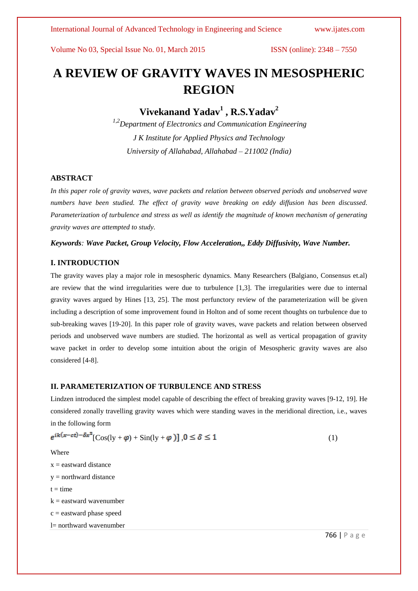# **A REVIEW OF GRAVITY WAVES IN MESOSPHERIC REGION**

**Vivekanand Yadav<sup>1</sup> , R.S.Yadav<sup>2</sup>**

*1,2Department of Electronics and Communication Engineering J K Institute for Applied Physics and Technology University of Allahabad, Allahabad – 211002 (India)*

## **ABSTRACT**

*In this paper role of gravity waves, wave packets and relation between observed periods and unobserved wave numbers have been studied. The effect of gravity wave breaking on eddy diffusion has been discussed. Parameterization of turbulence and stress as well as identify the magnitude of known mechanism of generating gravity waves are attempted to study.*

*Keywords: Wave Packet, Group Velocity, Flow Acceleration,, Eddy Diffusivity, Wave Number.*

## **I. INTRODUCTION**

The gravity waves play a major role in mesospheric dynamics. Many Researchers (Balgiano, Consensus et.al) are review that the wind irregularities were due to turbulence [1,3]. The irregularities were due to internal gravity waves argued by Hines [13, 25]. The most perfunctory review of the parameterization will be given including a description of some improvement found in Holton and of some recent thoughts on turbulence due to sub-breaking waves [19-20]. In this paper role of gravity waves, wave packets and relation between observed periods and unobserved wave numbers are studied. The horizontal as well as vertical propagation of gravity wave packet in order to develop some intuition about the origin of Mesospheric gravity waves are also considered [4-8].

#### **II. PARAMETERIZATION OF TURBULENCE AND STRESS**

Lindzen introduced the simplest model capable of describing the effect of breaking gravity waves [9-12, 19]. He considered zonally travelling gravity waves which were standing waves in the meridional direction, i.e., waves in the following form

$$
e^{ik(x-ct)-\delta x^2}[\cos(\mathrm{ly}+\varphi)+\sin(\mathrm{ly}+\varphi)] , 0 \le \delta \le 1
$$
 (1)

Where

 $x =$  eastward distance

 $y =$  northward distance

 $t = time$ 

k = eastward wavenumber

 $c =$  eastward phase speed

l= northward wavenumber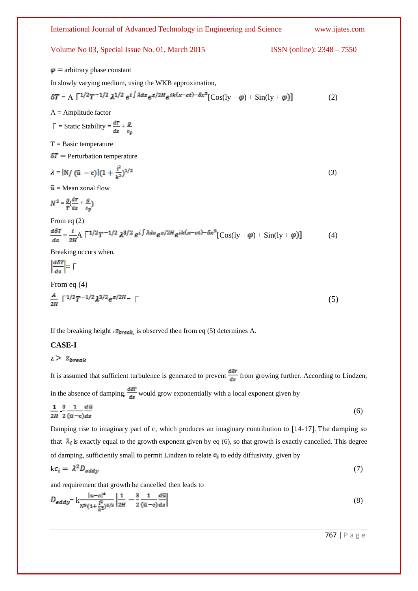

If the breaking height  $\bar{z}_{\text{break}}$  is observed then from eq (5) determines A.

## **CASE-I**

 $z > z_{break}$ 

It is assumed that sufficient turbulence is generated to prevent  $\frac{d\delta T}{dz}$  from growing further. According to Lindzen,

in the absence of damping,  $\frac{d\delta T}{dz}$  would grow exponentially with a local exponent given by

$$
\frac{1}{2H} - \frac{3}{2} \frac{1}{(\overline{u} - c) dz} d\overline{u}
$$
 (6)

Damping rise to imaginary part of c, which produces an imaginary contribution to [14-17]. The damping so that  $\lambda_i$  is exactly equal to the growth exponent given by eq (6), so that growth is exactly cancelled. This degree of damping, sufficiently small to permit Lindzen to relate  $c_i$  to eddy diffusivity, given by

$$
k c_i = \lambda^2 D_{eddy} \tag{7}
$$

and requirement that growth be cancelled then leads to

$$
D_{\text{eddy}} = k \frac{|u - c|^4}{N^8 (1 + \frac{l^2}{k^2})^{8/2}} \left| \frac{1}{2H} - \frac{3}{2} \frac{1}{(\overline{u} - c)} \frac{d\overline{u}}{dz} \right| \tag{8}
$$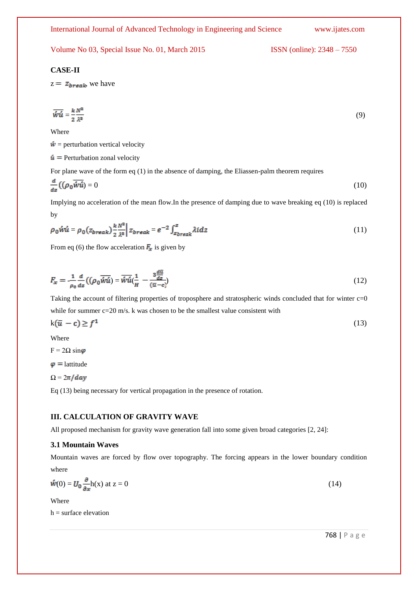## **CASE-II**

 $z = z_{\text{break}}$ , we have

$$
\overline{\hat{w}}\hat{u} = \frac{k}{2} \frac{N^2}{\lambda^3} \tag{9}
$$

Where

 $\dot{w}$  = perturbation vertical velocity

 $\dot{u}$  = Perturbation zonal velocity

For plane wave of the form eq (1) in the absence of damping, the Eliassen-palm theorem requires

$$
\frac{d}{dz}\left(\left(\rho_0 \overline{\hat{w}u}\right)\right) = 0\tag{10}
$$

Implying no acceleration of the mean flow.In the presence of damping due to wave breaking eq (10) is replaced by

$$
\rho_0 \acute{w}\acute{u} = \rho_0 (z_{break}) \frac{k}{2} \frac{N^2}{\lambda^3} \Big| z_{break} = e^{-2} \int_{z_{break}}^z \lambda idz \tag{11}
$$

From eq (6) the flow acceleration  $\mathbf{F}_{x}$  is given by

$$
F_x = \frac{1}{\rho_0} \frac{d}{dz} \left( (\rho_0 \overline{\hat{w}u}) = \overline{\hat{w}u} \left( \frac{1}{H} - \frac{3\frac{d\overline{u}}{dz}}{(\overline{u} - c)} \right) \right)
$$
(12)

Taking the account of filtering properties of troposphere and stratospheric winds concluded that for winter c=0 while for summer c=20 m/s. k was chosen to be the smallest value consistent with

$$
k(\bar{u} - c) \ge f^1 \tag{13}
$$

Where

 $F = 2\Omega \sin \varphi$ 

 $\varphi$  = lattitude

$$
\Omega = 2\pi / day
$$

Eq (13) being necessary for vertical propagation in the presence of rotation.

## **III. CALCULATION OF GRAVITY WAVE**

All proposed mechanism for gravity wave generation fall into some given broad categories [2, 24]:

## **3.1 Mountain Waves**

Mountain waves are forced by flow over topography. The forcing appears in the lower boundary condition where

$$
\mathbf{\dot{w}}(0) = \mathbf{U}_0 \frac{\partial}{\partial x} \mathbf{h}(\mathbf{x}) \text{ at } \mathbf{z} = 0 \tag{14}
$$

Where

 $h =$  surface elevation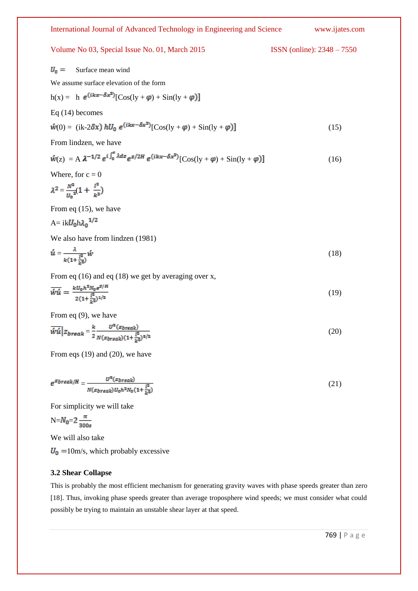International Journal of Advanced Technology in Engineering and Science www.ijates.com Volume No 03, Special Issue No. 01, March 2015 ISSN (online):  $2348 - 7550$  $U_0$  = Surface mean wind We assume surface elevation of the form  $h(x) = h e^{(ikx - \delta x^2)}[Cos(ly + \varphi) + Sin(ly + \varphi)]$ Eq (14) becomes  $\hat{w}(0) = (ik - 2\delta x) hU_0 e^{(ikx - \delta x^2)} [Cos(ly + \varphi) + Sin(ly + \varphi)]$ (15) From lindzen, we have  $\dot{w}(z) = A \lambda^{-1/2} e^{i \int_0^z \lambda dz} e^{z/2H} e^{(ikx - \delta x^2)} [\cos(y + \varphi) + \sin(y + \varphi)]$ (16) Where, for  $c = 0$  $\lambda^2 = \frac{N^2}{n^2}(1 + \frac{l^2}{k^2})$ From eq (15), we have  $A= ikU_0h\lambda_0^{1/2}$ We also have from lindzen (1981)  $\acute{u} = \frac{\lambda}{k(1 + \frac{l^2}{n^2})}\acute{w}$  (18) From eq  $(16)$  and eq  $(18)$  we get by averaging over x,  $\overline{\hat{wu}} = \frac{k U_0 h^2 N_0 e^{Z/H}}{2(1 + \frac{l^2}{k^2})^{1/2}}$ (19) From eq (9), we have  $\overline{\hat{wu}}|_{\mathcal{Z}_{\text{break}}} = \frac{k}{2} \frac{U^3(z_{\text{break}})}{N(z_{\text{break}})(1 + \frac{l^2}{l^2})^{3/2}}$  (20)

From eqs (19) and (20), we have

$$
e^{z \text{break}/H} = \frac{U^2(z \text{break})}{N(z \text{break}) U_0 h^2 N_0 (1 + \frac{l^2}{k^2})}
$$
(21)

For simplicity we will take

$$
N = N_0 = 2 \frac{\pi}{300s}
$$

We will also take

 $U_0$  =10m/s, which probably excessive

## **3.2 Shear Collapse**

This is probably the most efficient mechanism for generating gravity waves with phase speeds greater than zero [18]. Thus, invoking phase speeds greater than average troposphere wind speeds; we must consider what could possibly be trying to maintain an unstable shear layer at that speed.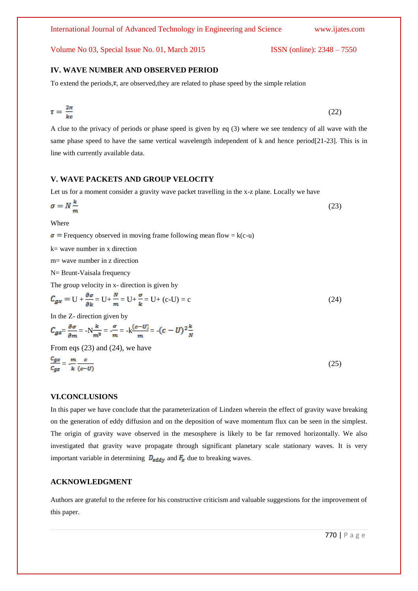# **IV. WAVE NUMBER AND OBSERVED PERIOD**

To extend the periods, $\tau$ , are observed, they are related to phase speed by the simple relation

$$
\tau = \frac{2\pi}{kc} \tag{22}
$$

A clue to the privacy of periods or phase speed is given by eq (3) where we see tendency of all wave with the same phase speed to have the same vertical wavelength independent of k and hence period[21-23]. This is in line with currently available data.

## **V. WAVE PACKETS AND GROUP VELOCITY**

Let us for a moment consider a gravity wave packet travelling in the x-z plane. Locally we have

$$
\sigma = N \frac{\kappa}{m} \tag{23}
$$

Where

 $\sigma$  = Frequency observed in moving frame following mean flow = k(c-u)

k= wave number in x direction

m= wave number in z direction

N= Brunt-Vaisala frequency

The group velocity in x- direction is given by

$$
C_{gx} = U + \frac{\partial \sigma}{\partial k} = U + \frac{N}{m} = U + \frac{\sigma}{k} = U + (c-U) = c \tag{24}
$$

In the Z- direction given by

$$
C_{gz} = \frac{\partial \sigma}{\partial m} = -N\frac{k}{m^2} = -\frac{\sigma}{m} = -k\frac{(c-U)}{m} = -(c-U)^2\frac{k}{N}
$$

From eqs (23) and (24), we have

$$
\frac{c_{gx}}{c_{gz}} = -\frac{m}{k} \frac{c}{(c-U)}\tag{25}
$$

## **VI.CONCLUSIONS**

In this paper we have conclude that the parameterization of Lindzen wherein the effect of gravity wave breaking on the generation of eddy diffusion and on the deposition of wave momentum flux can be seen in the simplest. The origin of gravity wave observed in the mesosphere is likely to be far removed horizontally. We also investigated that gravity wave propagate through significant planetary scale stationary waves. It is very important variable in determining  $D_{\text{eddy}}$  and  $F_x$  due to breaking waves.

# **ACKNOWLEDGMENT**

Authors are grateful to the referee for his constructive criticism and valuable suggestions for the improvement of this paper.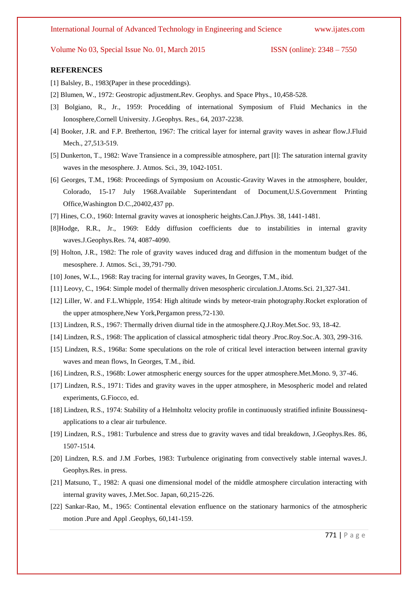#### **REFERENCES**

- [1] Balsley, B., 1983(Paper in these proceddings).
- [2] Blumen, W., 1972: Geostropic adjustment**.**Rev. Geophys. and Space Phys., 10,458-528.
- [3] Bolgiano, R., Jr., 1959: Procedding of international Symposium of Fluid Mechanics in the Ionosphere,Cornell University. J.Geophys. Res., 64, 2037-2238.
- [4] Booker, J.R. and F.P. Bretherton, 1967: The critical layer for internal gravity waves in ashear flow.J.Fluid Mech., 27,513-519.
- [5] Dunkerton, T., 1982: Wave Transience in a compressible atmosphere, part [I]: The saturation internal gravity waves in the mesosphere. J. Atmos. Sci., 39, 1042-1051.
- [6] Georges, T.M., 1968: Proceedings of Symposium on Acoustic-Gravity Waves in the atmosphere, boulder, Colorado, 15-17 July 1968.Available Superintendant of Document,U.S.Government Printing Office,Washington D.C.,20402,437 pp.
- [7] Hines, C.O., 1960: Internal gravity waves at ionospheric heights.Can.J.Phys. 38, 1441-1481.
- [8]Hodge, R.R., Jr., 1969: Eddy diffusion coefficients due to instabilities in internal gravity waves.J.Geophys.Res. 74, 4087-4090.
- [9] Holton, J.R., 1982: The role of gravity waves induced drag and diffusion in the momentum budget of the mesosphere. J. Atmos. Sci., 39,791-790.
- [10] Jones, W.L., 1968: Ray tracing for internal gravity waves, In Georges, T.M., ibid.
- [11] Leovy, C., 1964: Simple model of thermally driven mesospheric circulation.J.Atoms.Sci. 21,327-341.
- [12] Liller, W. and F.L.Whipple, 1954: High altitude winds by meteor-train photography.Rocket exploration of the upper atmosphere,New York,Pergamon press,72-130.
- [13] Lindzen, R.S., 1967: Thermally driven diurnal tide in the atmosphere.Q.J.Roy.Met.Soc. 93, 18-42.
- [14] Lindzen, R.S., 1968: The application of classical atmospheric tidal theory .Proc.Roy.Soc.A. 303, 299-316.
- [15] Lindzen, R.S., 1968a: Some speculations on the role of critical level interaction between internal gravity waves and mean flows, In Georges, T.M., ibid.
- [16] Lindzen, R.S., 1968b: Lower atmospheric energy sources for the upper atmosphere.Met.Mono. 9, 37-46.
- [17] Lindzen, R.S., 1971: Tides and gravity waves in the upper atmosphere, in Mesospheric model and related experiments, G.Fiocco, ed.
- [18] Lindzen, R.S., 1974: Stability of a Helmholtz velocity profile in continuously stratified infinite Boussinesqapplications to a clear air turbulence.
- [19] Lindzen, R.S., 1981: Turbulence and stress due to gravity waves and tidal breakdown, J.Geophys.Res. 86, 1507-1514.
- [20] Lindzen, R.S. and J.M .Forbes, 1983: Turbulence originating from convectively stable internal waves.J. Geophys.Res. in press.
- [21] Matsuno, T., 1982: A quasi one dimensional model of the middle atmosphere circulation interacting with internal gravity waves, J.Met.Soc. Japan, 60,215-226.
- [22] Sankar-Rao, M., 1965: Continental elevation enfluence on the stationary harmonics of the atmospheric motion .Pure and Appl .Geophys, 60,141-159.